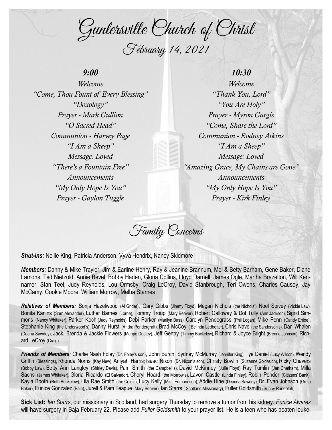Guntersville Church of Christ February 14, 2021

## *9:00*

*Welcome "Come, Thou Fount of Every Blessing" "Doxology" Prayer - Mark Gullion "O Sacred Head" Communion - Harvey Page "I Am a Sheep" Message: Loved "There's a Fountain Free" Announcements "My Only Hope Is You" Prayer - Gaylon Tuggle*

## *10:30*

*Welcome "Thank You, Lord" "You Are Holy" Prayer - Myron Gargis "Come, Share the Lord" Communion - Rodney Atkins "I Am a Sheep" Message: Loved "Amazing Grace, My Chains are Gone" Announcements "My Only Hope Is You" Prayer - Kirk Finley* 

Family Concerns

*Shut-ins:* Nellie King, Patricia Anderson, Vyva Hendrix, Nancy Skidmore

*Members:* Danny & Mike Traylor, Jim & Earline Henry, Ray & Jeanine Brannum, Mel & Betty Barham, Gene Baker, Diane Lamons, Ted Nietzold, Annie Bevel, Bobby Haden, Gloria Collins, Lloyd Darnell, James Ogle, Martha Brazelton, Will Kennamer, Stan Teel, Judy Reynolds, Lou Ormsby, Craig LeCroy, David Stanbrough, Teri Owens, Charles Causey, Jay McCamy, Cookie Moore, William Morrow, Melba Starnes

*Relatives of Members:* Sonja Hazelwood (Al Grider), Gary Gibbs (Jimmy Floyd), Megan Nichols (the Nichols'), Noel Spivey (Vickie Law), Bonita Kanins (Sam Alexander), Luther Barnes (Lorne), Tommy Troup (Mary Beaver), Robert Galloway & Dot Tully (Ann Jackson), Sigrid Simmons (Nancy Whitaker), Parker Koch (Judy Reynolds), Debi Parker (Marilyn Bass), Carolyn Pendegrass (Phil Logan), Mike Penn (Candy Enloe), Stephanie King (the Underwood's), Danny Hurst (Andra Pendergraft), Brad McCoy ( Belinda Ledbetter), Chris Nave (the Sanderson's), Dan Whalen (Deana Sawdey), Jack, Brenda & Jackie Flowers (Margie Dudley), Jeff Gentry (Timmy Buckelew), Richard & Joyce Bright (Brenda Johnson), Richard LeCroy (Craig)

*Friends of Members:* Charlie Nash Foley (Dr. Foley's son), John Burch; Sydney McMurray (Jennifer King), Tye Daniel (Lucy Wilson), Wendy Griffin (Blessings), Rhonda Norris (Kay New), Aniyah Harris; Isaac Nixon (Dr. Nixon's son), Christy Bowlin (Suzanne Goldasich), Ricky Chavers (Bobby Law), Betty Ann Langley (Shirley Davis), Pam Smith (the Campbell's), David McKinney (Julie Floyd), Ray Tumlin (Jan Chatham), Milla Sachs (James Whitaker), Gloria Ricardo (El Salvador), Cheryl Hoard (the Morrow's), Lavon Castle (Linda Finley), Robin Ponder (Citizens' Bank), Kayla Booth (Beth Buckelew), Lila Rae Smith (the Cole's), Lucy Kelly (Misti Edmondson), Addie Hine (Deanna Sawdey), Dr. Evan Johnson (Greta Baker), Eunice Gonzalez (Baja), Jurell & Pam Teague (Mary Beaver), Ian Starrs ( Scotland Missionary), Fuller Goldsmith (Sunny Randolph)

**Sick List:** *Ian Starrs*, our missionary in Scotland, had surgery Thursday to remove a tumor from his kidney. *Eunice Alvarez*  will have surgery in Baja February 22. Please add *Fuller Goldsmith* to your prayer list. He is a teen who has beaten leuke